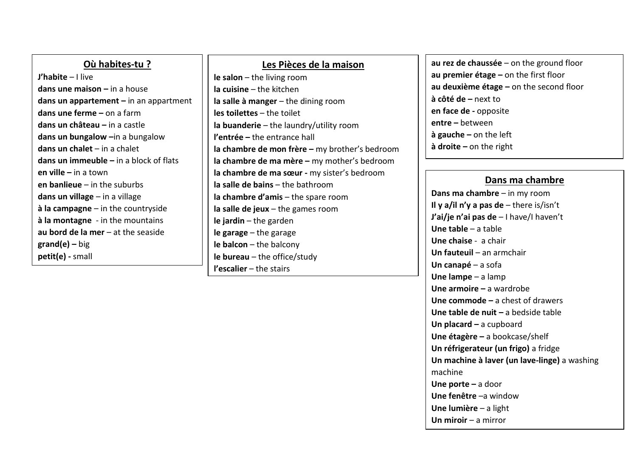| Où habites-tu?                             | Les Pièces de la maison                        | au rez de chaussée $-$ on the ground floor |  |
|--------------------------------------------|------------------------------------------------|--------------------------------------------|--|
| <b>J'habite</b> $-1$ live                  | $le$ salon $-$ the living room                 | au premier étage $-$ on the first floor    |  |
| dans une maison $-$ in a house             | $Ia$ cuisine $-$ the kitchen                   | au deuxième étage $-$ on the second floor  |  |
| dans un appartement $-$ in an appartment   | la salle à manger $-$ the dining room          | $\dot{a}$ côté de – next to                |  |
| dans une ferme $-$ on a farm               | $les$ toilettes $-$ the toilet                 | en face de - opposite                      |  |
| dans un château $-$ in a castle            | la buanderie $-$ the laundry/utility room      | $entre - between$                          |  |
| dans un bungalow -in a bungalow            | <b>l'entrée</b> – the entrance hall            | $\dot{a}$ gauche – on the left             |  |
| dans un chalet $-$ in a chalet             | la chambre de mon frère - my brother's bedroom | $\dot{a}$ droite – on the right            |  |
| dans un immeuble $-$ in a block of flats   | la chambre de ma mère $-$ my mother's bedroom  |                                            |  |
| en ville $-$ in a town                     | la chambre de ma sœur - my sister's bedroom    |                                            |  |
| en banlieue $-$ in the suburbs             | $Ia$ salle de bains $-$ the bathroom           | Dans ma chambre                            |  |
| dans un village $-$ in a village           | la chambre d'amis $-$ the spare room           | Dans ma chambre $-$ in my room             |  |
| $\dot{a}$ la campagne – in the countryside | la salle de jeux $-$ the games room            | Il y a/il n'y a pas de $-$ there is/isn't  |  |
| à la montagne - in the mountains           | $le$ jardin - the garden                       | J'ai/je n'ai pas de $-1$ have/I haven't    |  |
| au bord de la mer $-$ at the seaside       | $le$ garage $-$ the garage                     | Une table $-$ a table                      |  |
| $\mathsf{grand}(e)$ – big                  | $le$ balcon $-$ the balcony                    | <b>Une chaise</b> - a chair                |  |
| petit(e) - small                           | $leq$ bureau – the office/study                | Un fauteuil $-$ an armchair                |  |
|                                            | <b>l'escalier</b> $-$ the stairs               | Un canapé $-$ a sofa                       |  |
|                                            |                                                | Une lampe $-$ a lamp                       |  |

**Une armoire –** a wardrobe

**Un placard –** a cupboard

machine

**Une porte –** a door **Une fenêtre** –a window **Une lumière** – a light **Un miroir** – a mirror

**Une commode –** a chest of drawers **Une table de nuit –** a bedside table

**Une étagère –** a bookcase/shelf **Un réfrigerateur (un frigo)** a fridge

**Un machine à laver (un lave-linge)** a washing